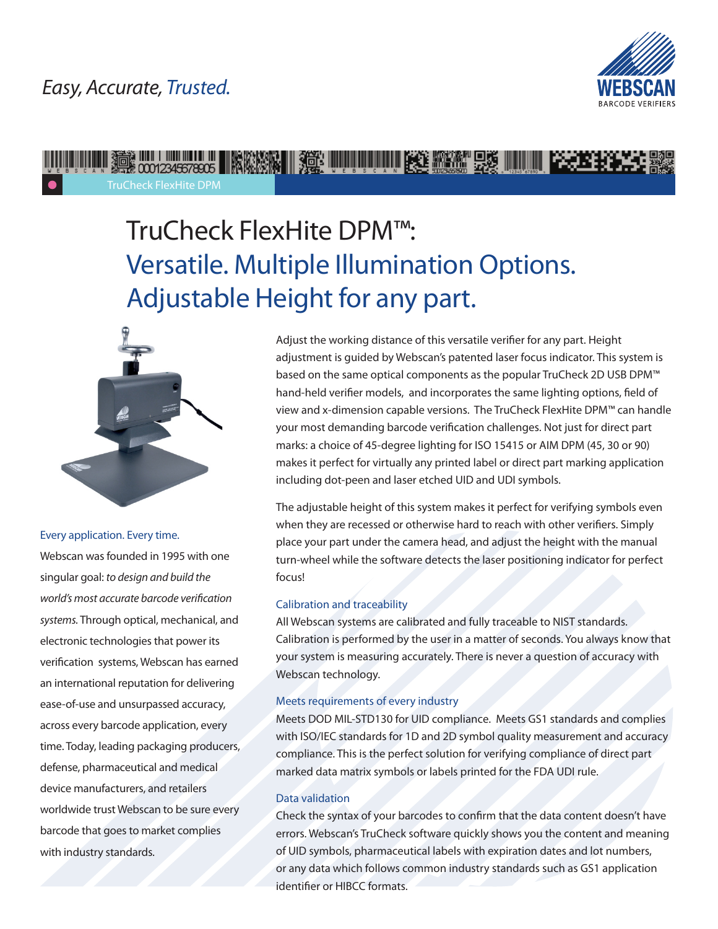## *Easy, Accurate, Trusted.*



## WE ALL AND THE MANUSCRIPT OF THE MANUSCRIPT OF THE MANUSCRIPT OF THE RESERVE THAT THE RESERVE THAT THE RESERVE TruCheck FlexHite DPM

# TruCheck FlexHite DPM™: Versatile. Multiple Illumination Options. Adjustable Height for any part.



#### Every application. Every time.

Webscan was founded in 1995 with one singular goal: *to design and build the world's most accurate barcode verification systems.* Through optical, mechanical, and electronic technologies that power its verification systems, Webscan has earned an international reputation for delivering ease-of-use and unsurpassed accuracy, across every barcode application, every time. Today, leading packaging producers, defense, pharmaceutical and medical device manufacturers, and retailers worldwide trust Webscan to be sure every barcode that goes to market complies with industry standards.

Adjust the working distance of this versatile verifier for any part. Height adjustment is guided by Webscan's patented laser focus indicator. This system is based on the same optical components as the popular TruCheck 2D USB DPM™ hand-held verifier models, and incorporates the same lighting options, field of view and x-dimension capable versions. The TruCheck FlexHite DPM™ can handle your most demanding barcode verification challenges. Not just for direct part marks: a choice of 45-degree lighting for ISO 15415 or AIM DPM (45, 30 or 90) makes it perfect for virtually any printed label or direct part marking application including dot-peen and laser etched UID and UDI symbols.

The adjustable height of this system makes it perfect for verifying symbols even when they are recessed or otherwise hard to reach with other verifiers. Simply place your part under the camera head, and adjust the height with the manual turn-wheel while the software detects the laser positioning indicator for perfect focus!

#### Calibration and traceability

All Webscan systems are calibrated and fully traceable to NIST standards. Calibration is performed by the user in a matter of seconds. You always know that your system is measuring accurately. There is never a question of accuracy with Webscan technology.

#### Meets requirements of every industry

Meets DOD MIL-STD130 for UID compliance. Meets GS1 standards and complies with ISO/IEC standards for 1D and 2D symbol quality measurement and accuracy compliance. This is the perfect solution for verifying compliance of direct part marked data matrix symbols or labels printed for the FDA UDI rule.

#### Data validation

Check the syntax of your barcodes to confirm that the data content doesn't have errors. Webscan's TruCheck software quickly shows you the content and meaning of UID symbols, pharmaceutical labels with expiration dates and lot numbers, or any data which follows common industry standards such as GS1 application identifier or HIBCC formats.